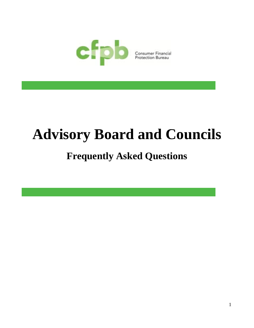

# **Advisory Board and Councils**

# **Frequently Asked Questions**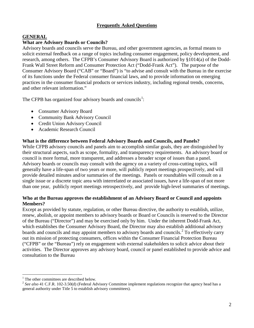# **Frequently Asked Questions**

## **GENERAL**

#### **What are Advisory Boards or Councils?**

Advisory boards and councils serve the Bureau, and other government agencies, as formal means to solicit external feedback on a range of topics including consumer engagement, policy development, and research, among others. The CFPB's Consumer Advisory Board is authorized by §1014(a) of the Dodd-Frank Wall Street Reform and Consumer Protection Act ("Dodd-Frank Act"). The purpose of the Consumer Advisory Board ("CAB" or "Board") is "to advise and consult with the Bureau in the exercise of its functions under the Federal consumer financial laws, and to provide information on emerging practices in the consumer financial products or services industry, including regional trends, concerns, and other relevant information."

The CFPB has organized four advisory boards and councils<sup>[1](#page-1-0)</sup>:

- Consumer Advisory Board
- Community Bank Advisory Council
- Credit Union Advisory Council
- Academic Research Council

#### **What is the difference between Federal Advisory Boards and Councils, and Panels?**

While CFPB advisory councils and panels aim to accomplish similar goals, they are distinguished by their structural aspects, such as scope, formality, and transparency requirements. An advisory board or council is more formal, more transparent, and addresses a broader scope of issues than a panel. Advisory boards or councils may consult with the agency on a variety of cross-cutting topics, will generally have a life-span of two years or more, will publicly report meetings prospectively, and will provide detailed minutes and/or summaries of the meetings. Panels or roundtables will consult on a single issue or a discrete topic area with interrelated or associated issues, have a life-span of not more than one year, publicly report meetings retrospectively, and provide high-level summaries of meetings.

# **Who at the Bureau approves the establishment of an Advisory Board or Council and appoints Members?**

Except as provided by statute, regulation, or other Bureau directive, the authority to establish, utilize, renew, abolish, or appoint members to advisory boards or Board or Councils is reserved to the Director of the Bureau ("Director") and may be exercised only by him. Under the inherent Dodd-Frank Act, which establishes the Consumer Advisory Board, the Director may also establish additional advisory boards and councils and may appoint members to advisory boards and councils.<sup>[2](#page-1-1)</sup> To effectively carry out its mission of protecting consumers, offices within the Consumer Financial Protection Bureau ("CFPB" or the "Bureau") rely on engagement with external stakeholders to solicit advice about their activities. The Director approves any advisory board, council or panel established to provide advice and consultation to the Bureau

<span id="page-1-0"></span>The other committees are described below.

<span id="page-1-1"></span><sup>&</sup>lt;sup>2</sup> See also 41 C.F.R. 102-3.50(d) (Federal Advisory Committee implement regulations recognize that agency head has a general authority under Title 5 to establish advisory committees).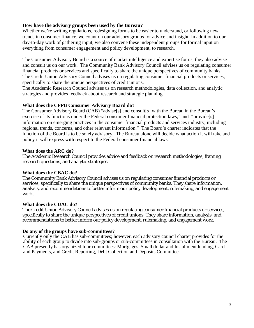# **How have the advisory groups been used by the Bureau?**

Whether we're writing regulations, redesigning forms to be easier to understand, or following new trends in consumer finance, we count on our advisory groups for advice and insight. In addition to our day-to-day work of [gathering input,](https://help.consumerfinance.gov/app/tellyourstory) we also convene these independent groups for formal input on everything from consumer engagement and policy development, to research.

The Consumer Advisory Board is a source of market intelligence and expertise for us, they also advise and consult us on our work. The Community Bank Advisory Council advises us on regulating consumer financial products or services and specifically to share the unique perspectives of community banks. The Credit Union Advisory Council advises us on regulating consumer financial products or services, specifically to share the unique perspectives of credit unions.

The Academic Research Council advises us on research methodologies, data collection, and analytic strategies and provides feedback about research and strategic planning.

#### **What does the CFPB Consumer Advisory Board do?**

The Consumer Advisory Board (CAB) "advise[s] and consult[s] with the Bureau in the Bureau's exercise of its functions under the Federal consumer financial protection laws," and "provide[s] information on emerging practices in the consumer financial products and services industry, including regional trends, concerns, and other relevant information." The Board's charter indicates that the function of the Board is to be solely advisory. The Bureau alone will decide what action it will take and policy it will express with respect to the Federal consumer financial laws.

#### **What does the ARC do?**

The Academic Research Council provides advice and feedback on research methodologies, framing research questions, and analytic strategies.

#### **What does the CBAC do?**

The Community Bank Advisory Council advises us on regulating consumer financial products or services, specifically to share the unique perspectives of community banks. They share information, analysis, and recommendations to better inform our policy development, rulemaking, and engagement work.

#### **What does the CUAC do?**

The Credit Union Advisory Council advises us on regulating consumer financial products or services, specifically to share the unique perspectives of credit unions. They share information, analysis, and recommendations to better inform our policy development, rulemaking, and engagement work.

#### **Do any of the groups have sub-committees?**

Currently only the CAB has sub-committees; however, each advisory council charter provides for the ability of each group to divide into sub-groups or sub-committees in consultation with the Bureau. The CAB presently has organized four committees: Mortgages, Small dollar and Installment lending, Card and Payments, and Credit Reporting, Debt Collection and Deposits Committee.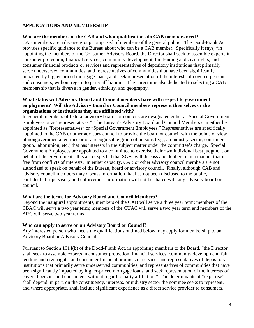# **APPLICATIONS AND MEMBERSHIP**

#### **Who are the members of the CAB and what qualifications do CAB members need?**

CAB members are a diverse group comprised of members of the general public. The Dodd-Frank Act provides specific guidance to the Bureau about who can be a CAB member. Specifically it says, "in appointing the members of the Consumer Advisory Board, the Director shall seek to assemble experts in consumer protection, financial services, community development, fair lending and civil rights, and consumer financial products or services and representatives of depository institutions that primarily serve underserved communities, and representatives of communities that have been significantly impacted by higher-priced mortgage loans, and seek representation of the interests of covered persons and consumers, without regard to party affiliation." The Director is also dedicated to selecting a CAB membership that is diverse in gender, ethnicity, and geography.

## **What status will Advisory Board and Council members have with respect to government employment? Will the Advisory Board or Council members represent themselves or the organizations or institutions they are affiliated with?**

In general, members of federal advisory boards or councils are designated either as Special Government Employees or as "representatives." The Bureau's Advisory Board and Council Members can either be appointed as "Representatives" or "Special Government Employees." Representatives are specifically appointed to the CAB or other advisory council to provide the board or council with the points of view of nongovernmental entities or of a recognizable group of persons (e.g., an industry sector, consumer group, labor union, etc.) that has interests in the subject matter under the committee's charge. Special Government Employees are appointed to a committee to exercise their own individual best judgment on behalf of the government. It is also expected that SGEs will discuss and deliberate in a manner that is free from conflicts of interests. In either capacity, CAB or other advisory council members are not authorized to speak on behalf of the Bureau, board or advisory council. Finally, although CAB and advisory council members may discuss information that has not been disclosed to the public, confidential supervisory and enforcement information will not be shared with any advisory board or council.

# **What are the terms for Advisory Board and Council Members?**

Beyond the inaugural appointments, members of the CAB will serve a three year term; members of the CBAC will serve a two year term; members of the CUAC will serve a two year term and members of the ARC will serve two year terms.

# **Who can apply to serve on an Advisory Board or Council?**

Any interested person who meets the qualifications outlined below may apply for membership to an Advisory Board or Advisory Council.

Pursuant to Section 1014(b) of the Dodd-Frank Act, in appointing members to the Board, "the Director shall seek to assemble experts in consumer protection, financial services, community development, fair lending and civil rights, and consumer financial products or services and representatives of depository institutions that primarily serve underserved communities, and representatives of communities that have been significantly impacted by higher-priced mortgage loans, and seek representation of the interests of covered persons and consumers, without regard to party affiliation." The determinants of "expertise" shall depend, in part, on the constituency, interests, or industry sector the nominee seeks to represent, and where appropriate, shall include significant experience as a direct service provider to consumers.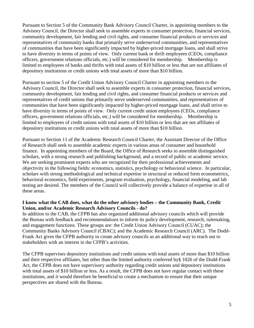Pursuant to Section 5 of the Community Bank Advisory Council Charter, in appointing members to the Advisory Council, the Director shall seek to assemble experts in consumer protection, financial services, community development, fair lending and civil rights, and consumer financial products or services and representatives of community banks that primarily serve underserved communities, and representatives of communities that have been significantly impacted by higher-priced mortgage loans, and shall strive to have diversity in terms of points of view. Only current bank or thrift employees (CEOs, compliance officers, government relations officials, etc.) will be considered for membership. Membership is limited to employees of banks and thrifts with total assets of \$10 billion or less that are not affiliates of depository institutions or credit unions with total assets of more than \$10 billion.

Pursuant to section 5 of the Credit Union Advisory Council Charter in appointing members to the Advisory Council, the Director shall seek to assemble experts in consumer protection, financial services, community development, fair lending and civil rights, and consumer financial products or services and representatives of credit unions that primarily serve underserved communities, and representatives of communities that have been significantly impacted by higher-priced mortgage loans, and shall strive to have diversity in terms of points of view. Only current credit union employees (CEOs, compliance officers, government relations officials, etc.) will be considered for membership. Membership is limited to employees of credit unions with total assets of \$10 billion or less that are not affiliates of depository institutions or credit unions with total assets of more than \$10 billion.

Pursuant to Section 11 of the Academic Research Council Charter, the Assistant Director of the Office of Research shall seek to assemble academic experts in various areas of consumer and household finance. In appointing members of the Board, the Office of Research seeks to assemble distinguished scholars, with a strong research and publishing background, and a record of public or academic service. We are seeking prominent experts who are recognized for their professional achievements and objectivity in the following fields: economics, statistics, psychology or behavioral science. In particular, scholars with strong methodological and technical expertise in structural or reduced form econometrics, behavioral economics, field experiments, program evaluation, psychology, financial modeling, and lab testing are desired. The members of the Council will collectively provide a balance of expertise in all of these areas.

# **I know what the CAB does, what do the other advisory bodies – the Community Bank, Credit Union, and/or Academic Research Advisory Councils - do?**

In addition to the CAB, the CFPB has also organized additional advisory councils which will provide the Bureau with feedback and recommendations to inform its policy development, research, rulemaking, and engagement functions. These groups are: the Credit Union Advisory Council (CUAC); the Community Banks Advisory Council (CBAC); and the Academic Research Council (ARC). The Dodd-Frank Act gives the CFPB authority to create advisory councils as an additional way to reach out to stakeholders with an interest in the CFPB's activities.

The CFPB supervises depository institutions and credit unions with total assets of more than \$10 billion and their respective affiliates, but other than the limited authority conferred by§ 1026 of the Dodd-Frank Act, the CFPB does not have supervisory authority regarding credit unions and depository institutions with total assets of \$10 billion or less. As a result, the CFPB does not have regular contact with these institutions, and *it* would therefore be beneficial to create a mechanism to ensure that their unique perspectives are shared with the Bureau.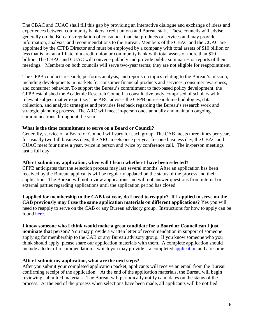The CBAC and CUAC shall fill this gap by providing an interactive dialogue and exchange of ideas and experiences between community bankers, credit unions and Bureau staff. These councils will advise generally on the Bureau's regulation of consumer financial products or services and may provide information, analysis, and recommendations to the Bureau. Members of the CBAC and the CUAC are appointed by the CFPB Director and must be employed by a company with total assets of \$10 billion or less that is not an affiliate of a credit union or community bank with total assets of more than \$10 billion. The CBAC and CUAC will convene publicly and provide public summaries or reports of their meetings. Members on both councils will serve two-year terms; they are not eligible for reappointment.

The CFPB conducts research, performs analysis, and reports on topics relating to the Bureau's mission, including developments in markets for consumer financial products and services, consumer awareness, and consumer behavior. To support the Bureau's commitment to fact-based policy development, the CFPB established the Academic Research Council, a consultative body comprised of scholars with relevant subject matter expertise. The ARC advises the CFPB on research methodologies, data collection, and analytic strategies and provides feedback regarding the Bureau's research work and strategic planning process. The ARC will meet in-person once annually and maintain ongoing communications throughout the year.

#### **What is the time commitment to serve on a Board or Council?**

Generally, service on a Board or Council will vary for each group. The CAB meets three times per year, for usually two full business days; the ARC meets once per year for one business day, the CBAC and CUAC meet four times a year, twice in person and twice by conference call. The in-person meetings last a full day.

#### **After I submit my application, when will I learn whether I have been selected?**

CFPB anticipates that the selection process may last several months. After an application has been received by the Bureau, applicants will be regularly updated on the status of the process and their application. The Bureau will not review applications and will not answer questions from internal or external parties regarding applications until the application period has closed.

**I applied for membership to the CAB last year, do I need to reapply? If I applied to serve on the CAB previously may I use the same application materials on different applications?** Yes you will need to reapply to serve on the CAB or any Bureau advisory group. Instructions for how to apply can be found [here.](http://www.consumerfinance.gov/blog/accepting-applications-for-our-advisory-board-and-councils/)

#### **I know someone who I think would make a great candidate for a Board or Council can I just**

**nominate that person?** You may provide a written letter of recommendation in support of someone applying for membership to the CAB or any Bureau advisory group. If you know someone who you think should apply, please share our application materials with them. A complete application should include a letter of recommendation – which you may provide – a completed [application](http://files.consumerfinance.gov/f/201401_cfpb_advisory-board-application.pdf) and a resume.

#### **After I submit my application, what are the next steps?**

After you submit your completed application packet, applicants will receive an email from the Bureau confirming receipt of the application. At the end of the application materials, the Bureau will begin reviewing submitted materials. The Bureau will periodically notify candidates on the status of the process. At the end of the process when selections have been made, all applicants will be notified.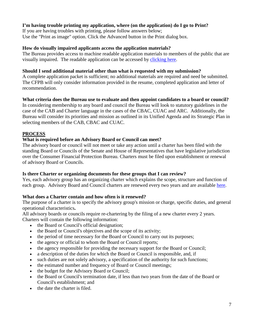# **I'm having trouble printing my application, where (on the application) do I go to Print?**

If you are having troubles with printing, please follow answers below; Use the "Print as image" option. Click the Advanced button in the Print dialog box.

# **How do visually impaired applicants access the application materials?**

The Bureau provides access to machine readable application materials to members of the public that are visually impaired. The readable application can be accessed by [clicking here.](http://files.consumerfinance.gov/f/201401_cfpb_advisory-board-application-accesible.pdf)

# **Should I send additional material other than what is requested with my submission?**

A complete application packet is sufficient; no additional materials are required and need be submitted. The CFPB will only consider information provided in the resume, completed application and letter of recommendation.

#### **What criteria does the Bureau use to evaluate and then appoint candidates to a board or council?**

In considering membership to any board and council the Bureau will look to statutory guidelines in the case of the CAB and Charter language in the cases of the CBAC, CUAC and ARC. Additionally, the Bureau will consider its priorities and mission as outlined in its Unified Agenda and its Strategic Plan in selecting members of the CAB, CBAC and CUAC.

# **PROCESS**

# **What is required before an Advisory Board or Council can meet?**

The advisory board or council will not meet or take any action until a charter has been filed with the standing Board or Councils of the Senate and House of Representatives that have legislative jurisdiction over the Consumer Financial Protection Bureau. Charters must be filed upon establishment or renewal of advisory Board or Councils.

# **Is there Charter or organizing documents for these groups that I can review?**

Yes, each advisory group has an organizing charter which explains the scope, structure and function of each group. Advisory Board and Council charters are renewed every two years and are available [here.](http://www.consumerfinance.gov/advisory-groups/)

# **What does a Charter contain and how often is it renewed?**

The purpose of a charter is to specify the advisory group's mission or charge, specific duties, and general operational characteristics**.** 

All advisory boards or councils require re-chartering by the filing of a new charter every 2 years. Charters will contain the following information:

- the Board or Council's official designation;
- the Board or Council's objectives and the scope of its activity;
- the period of time necessary for the Board or Council to carry out its purposes;
- the agency or official to whom the Board or Council reports;
- the agency responsible for providing the necessary support for the Board or Council;
- a description of the duties for which the Board or Council is responsible, and, if
- such duties are not solely advisory, a specification of the authority for such functions;
- the estimated number and frequency of Board or Council meetings;
- the budget for the Advisory Board or Council;
- the Board or Council's termination date, if less than two years from the date of the Board or Council's establishment; and
- the date the charter is filed.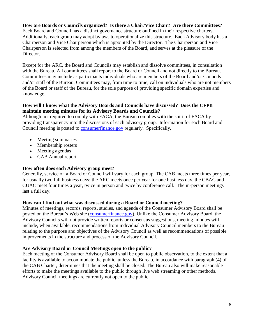# **How are Boards or Councils organized? Is there a Chair/Vice Chair? Are there Committees?**

Each Board and Council has a distinct governance structure outlined in their respective charters. Additionally, each group may adopt bylaws to operationalize this structure. Each Advisory body has a Chairperson and Vice Chairperson which is appointed by the Director. The Chairperson and Vice Chairperson is selected from among the members of the Board, and serves at the pleasure of the Director.

Except for the ARC, the Board and Councils may establish and dissolve committees, in consultation with the Bureau. All committees shall report to the Board or Council and not directly to the Bureau. Committees may include as participants individuals who are members of the Board and/or Councils and/or staff of the Bureau. Committees may, from time to time, call on individuals who are not members of the Board or staff of the Bureau, for the sole purpose of providing specific domain expertise and knowledge.

# **How will I know what the Advisory Boards and Councils have discussed? Does the CFPB maintain meeting minutes for its Advisory Boards and Councils?**

Although not required to comply with FACA, the Bureau complies with the spirit of FACA by providing transparency into the discussions of each advisory group. Information for each Board and Council meeting is posted to [consumerfinance.gov](http://www.consumerfinance.gov/) regularly. Specifically,

- Meeting summaries
- Membership rosters
- Meeting agendas
- CAB Annual report

#### **How often does each Advisory group meet?**

Generally, service on a Board or Council will vary for each group. The CAB meets three times per year, for usually two full business days; the ARC meets once per year for one business day, the CBAC and CUAC meet four times a year, twice in person and twice by conference call. The in-person meetings last a full day.

#### **How can I find out what was discussed during a Board or Council meeting?**

Minutes of meetings, records, reports, studies, and agenda of the Consumer Advisory Board shall be posted on the Bureau's Web site [\(consumerfinance.gov\)](http://www.consumerfinance.gov/). Unlike the Consumer Advisory Board, the Advisory Councils will not provide written reports or consensus suggestions, meeting minutes will include, when available, recommendations from individual Advisory Council members to the Bureau relating to the purpose and objectives of the Advisory Council as well as recommendations of possible improvements in the structure and process of the Advisory Council.

# **Are Advisory Board or Council Meetings open to the public?**

Each meeting of the Consumer Advisory Board shall be open to public observation, to the extent that a facility is available to accommodate the public, unless the Bureau, in accordance with paragraph (4) of the CAB Charter, determines that the meeting shall be closed. The Bureau also will make reasonable efforts to make the meetings available to the public through live web streaming or other methods. Advisory Council meetings are currently not open to the public.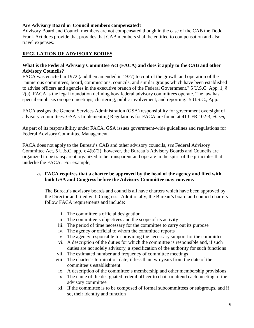# **Are Advisory Board or Council members compensated?**

Advisory Board and Council members are not compensated though in the case of the CAB the Dodd Frank Act does provide that provides that CAB members shall be entitled to compensation and also travel expenses.

# **REGULATION OF ADVISORY BODIES**

## **What is the Federal Advisory Committee Act (FACA) and does it apply to the CAB and other Advisory Councils?**

FACA was enacted in 1972 (and then amended in 1977) to control the growth and operation of the "numerous committees, board, commissions, councils, and similar groups which have been established to advise officers and agencies in the executive branch of the Federal Government." 5 U.S.C. App. 1, § 2(a). FACA is the legal foundation defining how federal advisory committees operate. The law has special emphasis on open meetings, chartering, public involvement, and reporting. 5 U.S.C., App.

FACA assigns the General Services Administration (GSA) responsibility for government oversight of advisory committees. GSA's Implementing Regulations for FACA are found at 41 CFR 102-3, *et. seq.*

As part of its responsibility under FACA, GSA issues government-wide guidelines and regulations for Federal Advisory Committee Management.

FACA does not apply to the Bureau's CAB and other advisory councils, *see* Federal Advisory Committee Act, 5 U.S.C. app. § 4(b)(2); however, the Bureau's Advisory Boards and Councils are organized to be transparent organized to be transparent and operate in the spirit of the principles that underlie the FACA. For example,

# **a. FACA requires that a charter be approved by the head of the agency and filed with both GSA and Congress before the Advisory Committee may convene.**

The Bureau's advisory boards and councils all have charters which have been approved by the Director and filed with Congress. Additionally, the Bureau's board and council charters follow FACA requirements and include:

- i. The committee's official designation
- ii. The committee's objectives and the scope of its activity
- iii. The period of time necessary for the committee to carry out its purpose
- iv. The agency or official to whom the committee reports
- v. The agency responsible for providing the necessary support for the committee
- vi. A description of the duties for which the committee is responsible and, if such duties are not solely advisory, a specification of the authority for such functions
- vii. The estimated number and frequency of committee meetings
- viii. The charter's termination date, if less than two years from the date of the committee's establishment
- ix. A description of the committee's membership and other membership provisions
- x. The name of the designated federal officer to chair or attend each meeting of the advisory committee
- xi. If the committee is to be composed of formal subcommittees or subgroups, and if so, their identity and function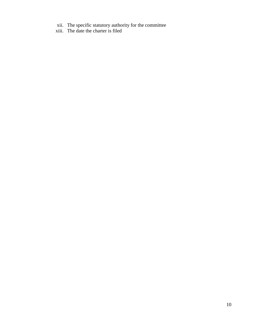- xii. The specific statutory authority for the committee
- xiii. The date the charter is filed